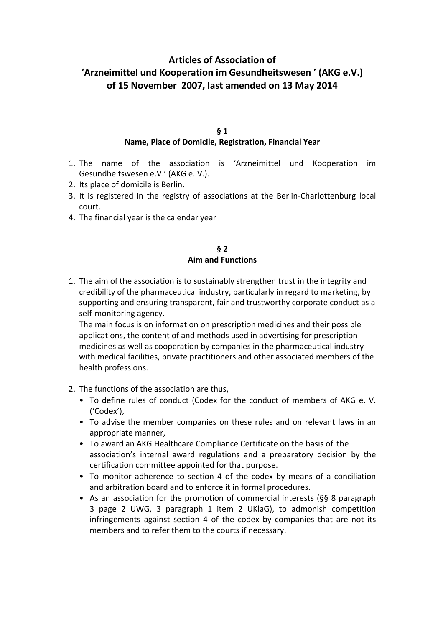# **Articles of Association of 'Arzneimittel und Kooperation im Gesundheitswesen ' (AKG e.V.) of 15 November 2007, last amended on 13 May 2014**

#### **§ 1**

#### **Name, Place of Domicile, Registration, Financial Year**

- 1. The name of the association is 'Arzneimittel und Kooperation im Gesundheitswesen e.V.' (AKG e. V.).
- 2. Its place of domicile is Berlin.
- 3. It is registered in the registry of associations at the Berlin-Charlottenburg local court.
- 4. The financial year is the calendar year

#### **§ 2 Aim and Functions**

1. The aim of the association is to sustainably strengthen trust in the integrity and credibility of the pharmaceutical industry, particularly in regard to marketing, by supporting and ensuring transparent, fair and trustworthy corporate conduct as a self-monitoring agency.

 The main focus is on information on prescription medicines and their possible applications, the content of and methods used in advertising for prescription medicines as well as cooperation by companies in the pharmaceutical industry with medical facilities, private practitioners and other associated members of the health professions.

- 2. The functions of the association are thus,
	- To define rules of conduct (Codex for the conduct of members of AKG e. V. ('Codex'),
	- To advise the member companies on these rules and on relevant laws in an appropriate manner,
	- To award an AKG Healthcare Compliance Certificate on the basis of the association's internal award regulations and a preparatory decision by the certification committee appointed for that purpose.
	- To monitor adherence to section 4 of the codex by means of a conciliation and arbitration board and to enforce it in formal procedures.
	- As an association for the promotion of commercial interests (§§ 8 paragraph 3 page 2 UWG, 3 paragraph 1 item 2 UKlaG), to admonish competition infringements against section 4 of the codex by companies that are not its members and to refer them to the courts if necessary.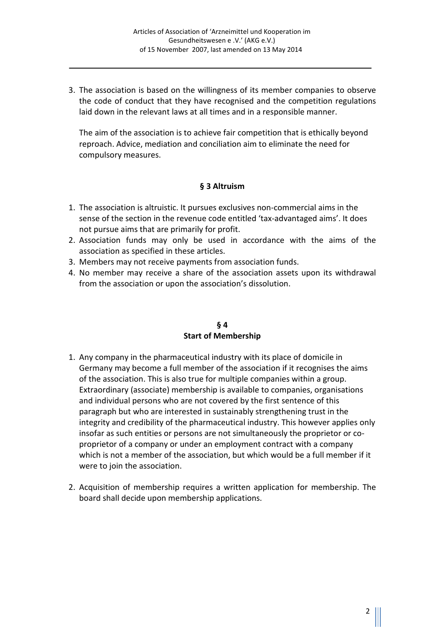3. The association is based on the willingness of its member companies to observe the code of conduct that they have recognised and the competition regulations laid down in the relevant laws at all times and in a responsible manner.

 The aim of the association is to achieve fair competition that is ethically beyond reproach. Advice, mediation and conciliation aim to eliminate the need for compulsory measures.

#### **§ 3 Altruism**

- 1. The association is altruistic. It pursues exclusives non-commercial aims in the sense of the section in the revenue code entitled 'tax-advantaged aims'. It does not pursue aims that are primarily for profit.
- 2. Association funds may only be used in accordance with the aims of the association as specified in these articles.
- 3. Members may not receive payments from association funds.
- 4. No member may receive a share of the association assets upon its withdrawal from the association or upon the association's dissolution.

#### **§ 4 Start of Membership**

- 1. Any company in the pharmaceutical industry with its place of domicile in Germany may become a full member of the association if it recognises the aims of the association. This is also true for multiple companies within a group. Extraordinary (associate) membership is available to companies, organisations and individual persons who are not covered by the first sentence of this paragraph but who are interested in sustainably strengthening trust in the integrity and credibility of the pharmaceutical industry. This however applies only insofar as such entities or persons are not simultaneously the proprietor or co proprietor of a company or under an employment contract with a company which is not a member of the association, but which would be a full member if it were to join the association.
- 2. Acquisition of membership requires a written application for membership. The board shall decide upon membership applications.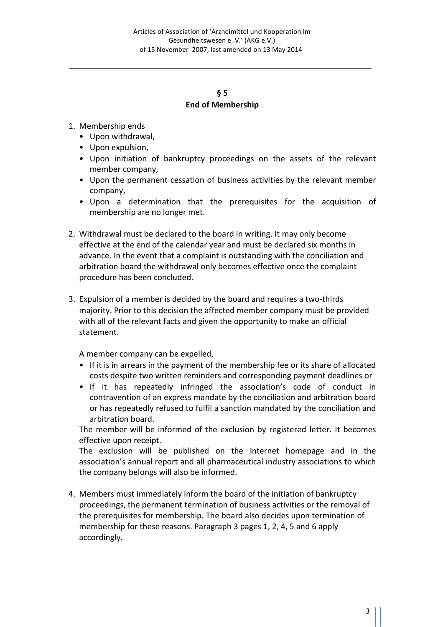## **§ 5 End of Membership**

- 1. Membership ends
	- Upon withdrawal,
	- Upon expulsion,
	- Upon initiation of bankruptcy proceedings on the assets of the relevant member company,
	- Upon the permanent cessation of business activities by the relevant member company,
	- Upon a determination that the prerequisites for the acquisition of membership are no longer met.
- 2. Withdrawal must be declared to the board in writing. It may only become effective at the end of the calendar year and must be declared six months in advance. In the event that a complaint is outstanding with the conciliation and arbitration board the withdrawal only becomes effective once the complaint procedure has been concluded.
- 3. Expulsion of a member is decided by the board and requires a two-thirds majority. Prior to this decision the affected member company must be provided with all of the relevant facts and given the opportunity to make an official statement.

A member company can be expelled,

- If it is in arrears in the payment of the membership fee or its share of allocated costs despite two written reminders and corresponding payment deadlines or
- If it has repeatedly infringed the association's code of conduct in contravention of an express mandate by the conciliation and arbitration board or has repeatedly refused to fulfil a sanction mandated by the conciliation and arbitration board.

 The member will be informed of the exclusion by registered letter. It becomes effective upon receipt.

The exclusion will be published on the Internet homepage and in the association's annual report and all pharmaceutical industry associations to which the company belongs will also be informed.

4. Members must immediately inform the board of the initiation of bankruptcy proceedings, the permanent termination of business activities or the removal of the prerequisites for membership. The board also decides upon termination of membership for these reasons. Paragraph 3 pages 1, 2, 4, 5 and 6 apply accordingly.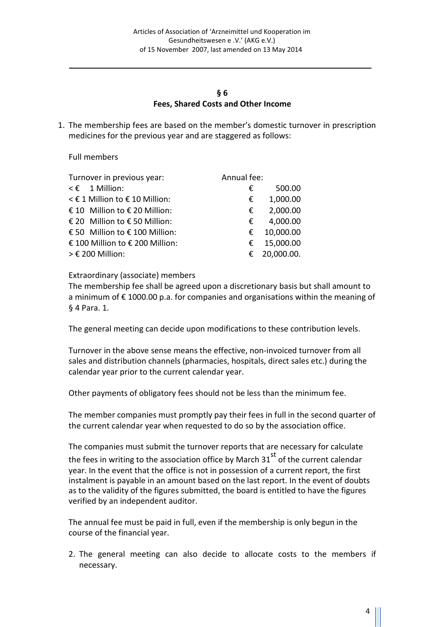#### **§ 6 Fees, Shared Costs and Other Income**

1. The membership fees are based on the member's domestic turnover in prescription medicines for the previous year and are staggered as follows:

Full members

| Annual fee:<br>Turnover in previous year: |            |
|-------------------------------------------|------------|
| $\leq \epsilon$ 1 Million:<br>€           | 500.00     |
| < € 1 Million to € 10 Million:<br>€       | 1,000.00   |
| € 10 Million to € 20 Million:<br>€        | 2,000.00   |
| € 20 Million to € 50 Million:<br>€        | 4,000.00   |
| € 50 Million to € 100 Million:<br>€       | 10,000.00  |
| € 100 Million to € 200 Million:<br>€      | 15,000.00  |
| $>$ € 200 Million:<br>€                   | 20,000.00. |

Extraordinary (associate) members

The membership fee shall be agreed upon a discretionary basis but shall amount to a minimum of € 1000.00 p.a. for companies and organisations within the meaning of § 4 Para. 1.

The general meeting can decide upon modifications to these contribution levels.

Turnover in the above sense means the effective, non-invoiced turnover from all sales and distribution channels (pharmacies, hospitals, direct sales etc.) during the calendar year prior to the current calendar year.

Other payments of obligatory fees should not be less than the minimum fee.

The member companies must promptly pay their fees in full in the second quarter of the current calendar year when requested to do so by the association office.

The companies must submit the turnover reports that are necessary for calculate the fees in writing to the association office by March  $31<sup>st</sup>$  of the current calendar year. In the event that the office is not in possession of a current report, the first instalment is payable in an amount based on the last report. In the event of doubts as to the validity of the figures submitted, the board is entitled to have the figures verified by an independent auditor.

The annual fee must be paid in full, even if the membership is only begun in the course of the financial year.

2. The general meeting can also decide to allocate costs to the members if necessary.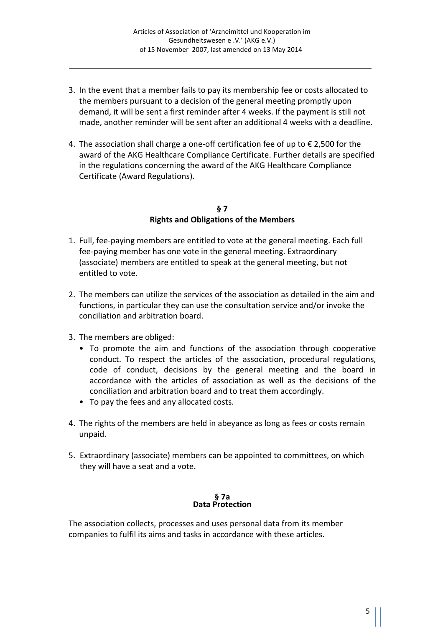- 3. In the event that a member fails to pay its membership fee or costs allocated to the members pursuant to a decision of the general meeting promptly upon demand, it will be sent a first reminder after 4 weeks. If the payment is still not made, another reminder will be sent after an additional 4 weeks with a deadline.
- 4. The association shall charge a one-off certification fee of up to  $\epsilon$  2,500 for the award of the AKG Healthcare Compliance Certificate. Further details are specified in the regulations concerning the award of the AKG Healthcare Compliance Certificate (Award Regulations).

#### **§ 7 Rights and Obligations of the Members**

- 1. Full, fee-paying members are entitled to vote at the general meeting. Each full fee-paying member has one vote in the general meeting. Extraordinary (associate) members are entitled to speak at the general meeting, but not entitled to vote.
- 2. The members can utilize the services of the association as detailed in the aim and functions, in particular they can use the consultation service and/or invoke the conciliation and arbitration board.
- 3. The members are obliged:
	- To promote the aim and functions of the association through cooperative conduct. To respect the articles of the association, procedural regulations, code of conduct, decisions by the general meeting and the board in accordance with the articles of association as well as the decisions of the conciliation and arbitration board and to treat them accordingly.
	- To pay the fees and any allocated costs.
- 4. The rights of the members are held in abeyance as long as fees or costs remain unpaid.
- 5. Extraordinary (associate) members can be appointed to committees, on which they will have a seat and a vote.

**§ 7a Data Protection** 

The association collects, processes and uses personal data from its member companies to fulfil its aims and tasks in accordance with these articles.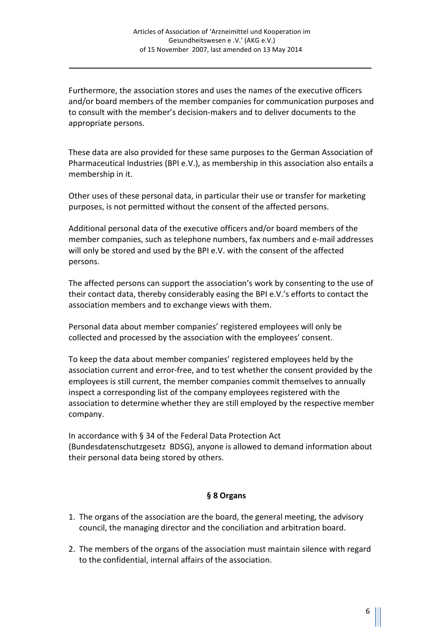Furthermore, the association stores and uses the names of the executive officers and/or board members of the member companies for communication purposes and to consult with the member's decision-makers and to deliver documents to the appropriate persons.

These data are also provided for these same purposes to the German Association of Pharmaceutical Industries (BPI e.V.), as membership in this association also entails a membership in it.

Other uses of these personal data, in particular their use or transfer for marketing purposes, is not permitted without the consent of the affected persons.

Additional personal data of the executive officers and/or board members of the member companies, such as telephone numbers, fax numbers and e-mail addresses will only be stored and used by the BPI e.V. with the consent of the affected persons.

The affected persons can support the association's work by consenting to the use of their contact data, thereby considerably easing the BPI e.V.'s efforts to contact the association members and to exchange views with them.

Personal data about member companies' registered employees will only be collected and processed by the association with the employees' consent.

To keep the data about member companies' registered employees held by the association current and error-free, and to test whether the consent provided by the employees is still current, the member companies commit themselves to annually inspect a corresponding list of the company employees registered with the association to determine whether they are still employed by the respective member company.

In accordance with § 34 of the Federal Data Protection Act (Bundesdatenschutzgesetz BDSG), anyone is allowed to demand information about their personal data being stored by others.

## **§ 8 Organs**

- 1. The organs of the association are the board, the general meeting, the advisory council, the managing director and the conciliation and arbitration board.
- 2. The members of the organs of the association must maintain silence with regard to the confidential, internal affairs of the association.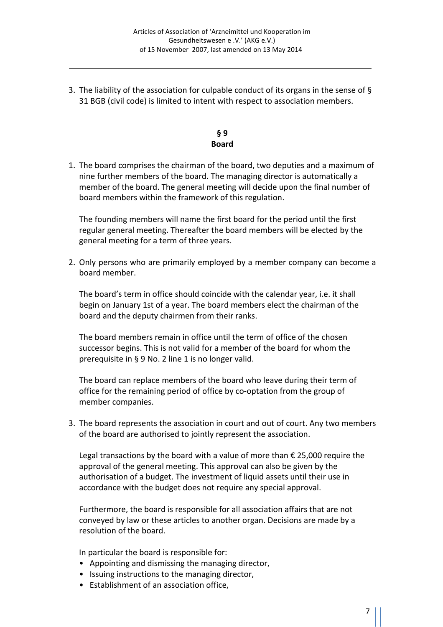3. The liability of the association for culpable conduct of its organs in the sense of § 31 BGB (civil code) is limited to intent with respect to association members.

## **§ 9 Board**

1. The board comprises the chairman of the board, two deputies and a maximum of nine further members of the board. The managing director is automatically a member of the board. The general meeting will decide upon the final number of board members within the framework of this regulation.

 The founding members will name the first board for the period until the first regular general meeting. Thereafter the board members will be elected by the general meeting for a term of three years.

2. Only persons who are primarily employed by a member company can become a board member.

 The board's term in office should coincide with the calendar year, i.e. it shall begin on January 1st of a year. The board members elect the chairman of the board and the deputy chairmen from their ranks.

 The board members remain in office until the term of office of the chosen successor begins. This is not valid for a member of the board for whom the prerequisite in § 9 No. 2 line 1 is no longer valid.

 The board can replace members of the board who leave during their term of office for the remaining period of office by co-optation from the group of member companies.

3. The board represents the association in court and out of court. Any two members of the board are authorised to jointly represent the association.

 Legal transactions by the board with a value of more than € 25,000 require the approval of the general meeting. This approval can also be given by the authorisation of a budget. The investment of liquid assets until their use in accordance with the budget does not require any special approval.

 Furthermore, the board is responsible for all association affairs that are not conveyed by law or these articles to another organ. Decisions are made by a resolution of the board.

In particular the board is responsible for:

- Appointing and dismissing the managing director,
- Issuing instructions to the managing director,
- Establishment of an association office,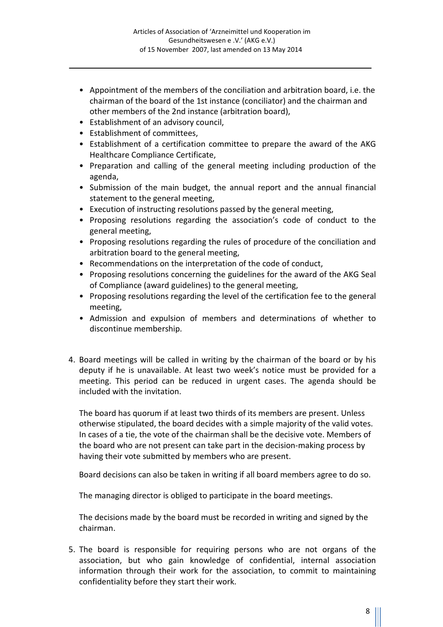- Appointment of the members of the conciliation and arbitration board, i.e. the chairman of the board of the 1st instance (conciliator) and the chairman and other members of the 2nd instance (arbitration board),
- Establishment of an advisory council,
- Establishment of committees,
- Establishment of a certification committee to prepare the award of the AKG Healthcare Compliance Certificate,
- Preparation and calling of the general meeting including production of the agenda,
- Submission of the main budget, the annual report and the annual financial statement to the general meeting,
- Execution of instructing resolutions passed by the general meeting,
- Proposing resolutions regarding the association's code of conduct to the general meeting,
- Proposing resolutions regarding the rules of procedure of the conciliation and arbitration board to the general meeting,
- Recommendations on the interpretation of the code of conduct,
- Proposing resolutions concerning the guidelines for the award of the AKG Seal of Compliance (award guidelines) to the general meeting,
- Proposing resolutions regarding the level of the certification fee to the general meeting,
- Admission and expulsion of members and determinations of whether to discontinue membership.
- 4. Board meetings will be called in writing by the chairman of the board or by his deputy if he is unavailable. At least two week's notice must be provided for a meeting. This period can be reduced in urgent cases. The agenda should be included with the invitation.

 The board has quorum if at least two thirds of its members are present. Unless otherwise stipulated, the board decides with a simple majority of the valid votes. In cases of a tie, the vote of the chairman shall be the decisive vote. Members of the board who are not present can take part in the decision-making process by having their vote submitted by members who are present.

Board decisions can also be taken in writing if all board members agree to do so.

The managing director is obliged to participate in the board meetings.

The decisions made by the board must be recorded in writing and signed by the chairman.

5. The board is responsible for requiring persons who are not organs of the association, but who gain knowledge of confidential, internal association information through their work for the association, to commit to maintaining confidentiality before they start their work.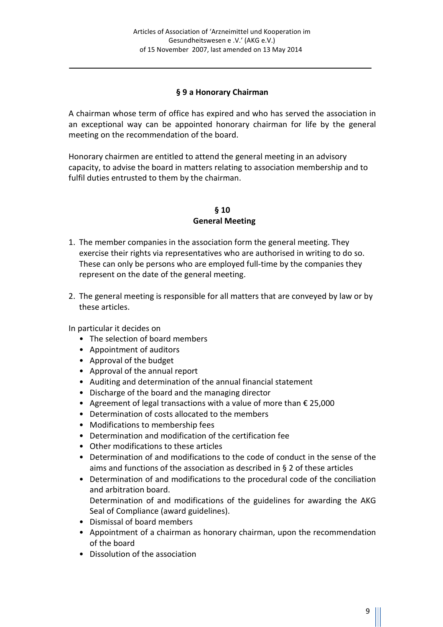## **§ 9 a Honorary Chairman**

A chairman whose term of office has expired and who has served the association in an exceptional way can be appointed honorary chairman for life by the general meeting on the recommendation of the board.

Honorary chairmen are entitled to attend the general meeting in an advisory capacity, to advise the board in matters relating to association membership and to fulfil duties entrusted to them by the chairman.

**§ 10 General Meeting**

- 1. The member companies in the association form the general meeting. They exercise their rights via representatives who are authorised in writing to do so. These can only be persons who are employed full-time by the companies they represent on the date of the general meeting.
- 2. The general meeting is responsible for all matters that are conveyed by law or by these articles.

In particular it decides on

- The selection of board members
- Appointment of auditors
- Approval of the budget
- Approval of the annual report
- Auditing and determination of the annual financial statement
- Discharge of the board and the managing director
- Agreement of legal transactions with a value of more than  $\epsilon$  25,000
- Determination of costs allocated to the members
- Modifications to membership fees
- Determination and modification of the certification fee
- Other modifications to these articles
- Determination of and modifications to the code of conduct in the sense of the aims and functions of the association as described in § 2 of these articles
- Determination of and modifications to the procedural code of the conciliation and arbitration board. Determination of and modifications of the guidelines for awarding the AKG Seal of Compliance (award guidelines).
- Dismissal of board members
- Appointment of a chairman as honorary chairman, upon the recommendation of the board
- Dissolution of the association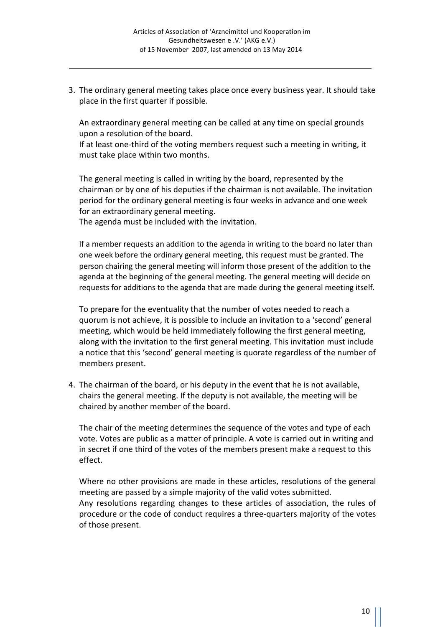3. The ordinary general meeting takes place once every business year. It should take place in the first quarter if possible.

 An extraordinary general meeting can be called at any time on special grounds upon a resolution of the board.

 If at least one-third of the voting members request such a meeting in writing, it must take place within two months.

 The general meeting is called in writing by the board, represented by the chairman or by one of his deputies if the chairman is not available. The invitation period for the ordinary general meeting is four weeks in advance and one week for an extraordinary general meeting.

The agenda must be included with the invitation.

 If a member requests an addition to the agenda in writing to the board no later than one week before the ordinary general meeting, this request must be granted. The person chairing the general meeting will inform those present of the addition to the agenda at the beginning of the general meeting. The general meeting will decide on requests for additions to the agenda that are made during the general meeting itself.

 To prepare for the eventuality that the number of votes needed to reach a quorum is not achieve, it is possible to include an invitation to a 'second' general meeting, which would be held immediately following the first general meeting, along with the invitation to the first general meeting. This invitation must include a notice that this 'second' general meeting is quorate regardless of the number of members present.

4. The chairman of the board, or his deputy in the event that he is not available, chairs the general meeting. If the deputy is not available, the meeting will be chaired by another member of the board.

 The chair of the meeting determines the sequence of the votes and type of each vote. Votes are public as a matter of principle. A vote is carried out in writing and in secret if one third of the votes of the members present make a request to this effect.

 Where no other provisions are made in these articles, resolutions of the general meeting are passed by a simple majority of the valid votes submitted. Any resolutions regarding changes to these articles of association, the rules of procedure or the code of conduct requires a three-quarters majority of the votes of those present.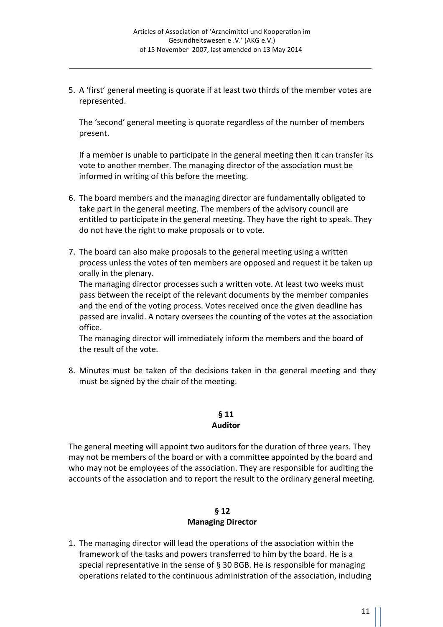5. A 'first' general meeting is quorate if at least two thirds of the member votes are represented.

 The 'second' general meeting is quorate regardless of the number of members present.

 If a member is unable to participate in the general meeting then it can transfer its vote to another member. The managing director of the association must be informed in writing of this before the meeting.

- 6. The board members and the managing director are fundamentally obligated to take part in the general meeting. The members of the advisory council are entitled to participate in the general meeting. They have the right to speak. They do not have the right to make proposals or to vote.
- 7. The board can also make proposals to the general meeting using a written process unless the votes of ten members are opposed and request it be taken up orally in the plenary.

 The managing director processes such a written vote. At least two weeks must pass between the receipt of the relevant documents by the member companies and the end of the voting process. Votes received once the given deadline has passed are invalid. A notary oversees the counting of the votes at the association office.

 The managing director will immediately inform the members and the board of the result of the vote.

8. Minutes must be taken of the decisions taken in the general meeting and they must be signed by the chair of the meeting.

#### **§ 11 Auditor**

The general meeting will appoint two auditors for the duration of three years. They may not be members of the board or with a committee appointed by the board and who may not be employees of the association. They are responsible for auditing the accounts of the association and to report the result to the ordinary general meeting.

## **§ 12 Managing Director**

1. The managing director will lead the operations of the association within the framework of the tasks and powers transferred to him by the board. He is a special representative in the sense of § 30 BGB. He is responsible for managing operations related to the continuous administration of the association, including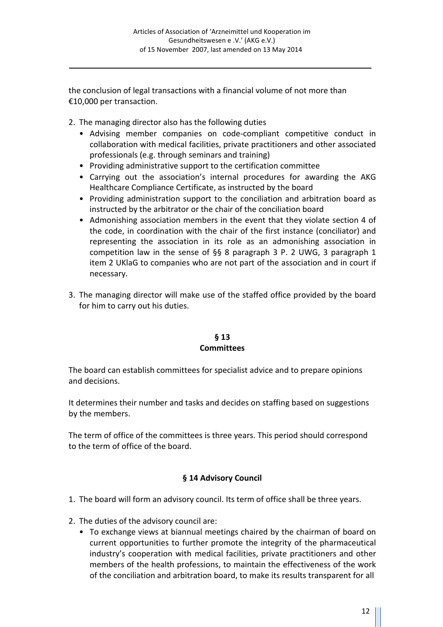the conclusion of legal transactions with a financial volume of not more than €10,000 per transaction.

- 2. The managing director also has the following duties
	- Advising member companies on code-compliant competitive conduct in collaboration with medical facilities, private practitioners and other associated professionals (e.g. through seminars and training)
	- Providing administrative support to the certification committee
	- Carrying out the association's internal procedures for awarding the AKG Healthcare Compliance Certificate, as instructed by the board
	- Providing administration support to the conciliation and arbitration board as instructed by the arbitrator or the chair of the conciliation board
	- Admonishing association members in the event that they violate section 4 of the code, in coordination with the chair of the first instance (conciliator) and representing the association in its role as an admonishing association in competition law in the sense of  $\S$ § 8 paragraph 3 P. 2 UWG, 3 paragraph 1 item 2 UKlaG to companies who are not part of the association and in court if necessary.
- 3. The managing director will make use of the staffed office provided by the board for him to carry out his duties.

#### **§ 13 Committees**

The board can establish committees for specialist advice and to prepare opinions and decisions.

It determines their number and tasks and decides on staffing based on suggestions by the members.

The term of office of the committees is three years. This period should correspond to the term of office of the board.

## **§ 14 Advisory Council**

- 1. The board will form an advisory council. Its term of office shall be three years.
- 2. The duties of the advisory council are:
	- To exchange views at biannual meetings chaired by the chairman of board on current opportunities to further promote the integrity of the pharmaceutical industry's cooperation with medical facilities, private practitioners and other members of the health professions, to maintain the effectiveness of the work of the conciliation and arbitration board, to make its results transparent for all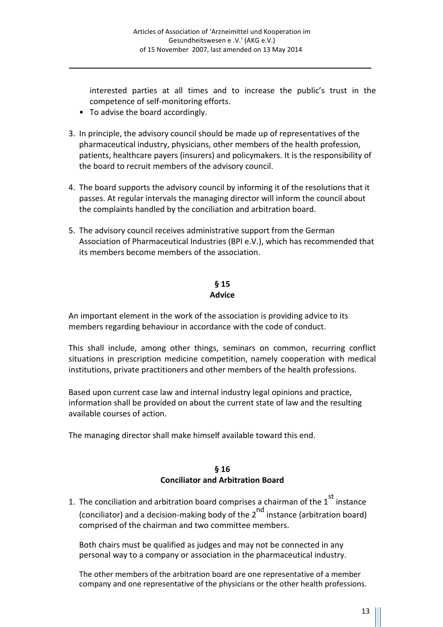interested parties at all times and to increase the public's trust in the competence of self-monitoring efforts.

- To advise the board accordingly.
- 3. In principle, the advisory council should be made up of representatives of the pharmaceutical industry, physicians, other members of the health profession, patients, healthcare payers (insurers) and policymakers. It is the responsibility of the board to recruit members of the advisory council.
- 4. The board supports the advisory council by informing it of the resolutions that it passes. At regular intervals the managing director will inform the council about the complaints handled by the conciliation and arbitration board.
- 5. The advisory council receives administrative support from the German Association of Pharmaceutical Industries (BPI e.V.), which has recommended that its members become members of the association.

## **§ 15 Advice**

An important element in the work of the association is providing advice to its members regarding behaviour in accordance with the code of conduct.

This shall include, among other things, seminars on common, recurring conflict situations in prescription medicine competition, namely cooperation with medical institutions, private practitioners and other members of the health professions.

Based upon current case law and internal industry legal opinions and practice, information shall be provided on about the current state of law and the resulting available courses of action.

The managing director shall make himself available toward this end.

## **§ 16 Conciliator and Arbitration Board**

1. The conciliation and arbitration board comprises a chairman of the  $1<sup>st</sup>$  instance (conciliator) and a decision-making body of the  $2^{nd}$  instance (arbitration board) comprised of the chairman and two committee members.

 Both chairs must be qualified as judges and may not be connected in any personal way to a company or association in the pharmaceutical industry.

 The other members of the arbitration board are one representative of a member company and one representative of the physicians or the other health professions.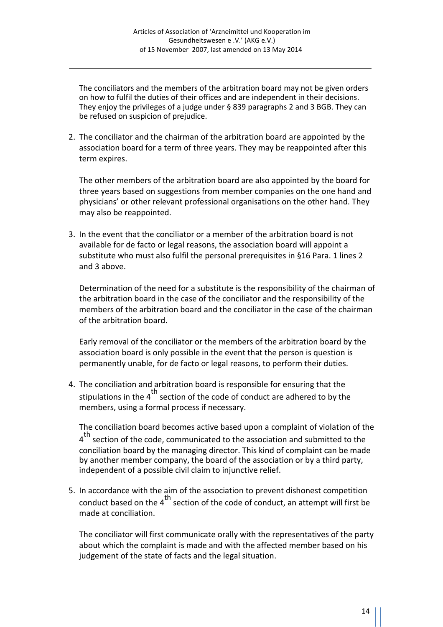The conciliators and the members of the arbitration board may not be given orders on how to fulfil the duties of their offices and are independent in their decisions. They enjoy the privileges of a judge under § 839 paragraphs 2 and 3 BGB. They can be refused on suspicion of prejudice.

2. The conciliator and the chairman of the arbitration board are appointed by the association board for a term of three years. They may be reappointed after this term expires.

 The other members of the arbitration board are also appointed by the board for three years based on suggestions from member companies on the one hand and physicians' or other relevant professional organisations on the other hand. They may also be reappointed.

3. In the event that the conciliator or a member of the arbitration board is not available for de facto or legal reasons, the association board will appoint a substitute who must also fulfil the personal prerequisites in §16 Para. 1 lines 2 and 3 above.

 Determination of the need for a substitute is the responsibility of the chairman of the arbitration board in the case of the conciliator and the responsibility of the members of the arbitration board and the conciliator in the case of the chairman of the arbitration board.

 Early removal of the conciliator or the members of the arbitration board by the association board is only possible in the event that the person is question is permanently unable, for de facto or legal reasons, to perform their duties.

4. The conciliation and arbitration board is responsible for ensuring that the stipulations in the  $4<sup>th</sup>$  section of the code of conduct are adhered to by the members, using a formal process if necessary.

 The conciliation board becomes active based upon a complaint of violation of the 4<sup>th</sup> section of the code, communicated to the association and submitted to the conciliation board by the managing director. This kind of complaint can be made by another member company, the board of the association or by a third party, independent of a possible civil claim to injunctive relief.

5. In accordance with the aim of the association to prevent dishonest competition conduct based on the  $4^{th}$  section of the code of conduct, an attempt will first be made at conciliation.

 The conciliator will first communicate orally with the representatives of the party about which the complaint is made and with the affected member based on his judgement of the state of facts and the legal situation.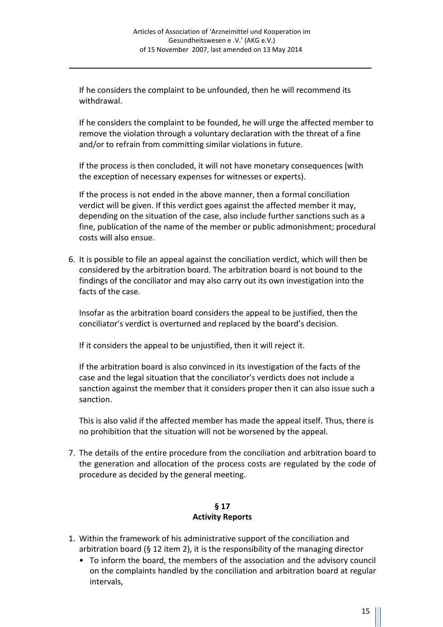If he considers the complaint to be unfounded, then he will recommend its withdrawal.

 If he considers the complaint to be founded, he will urge the affected member to remove the violation through a voluntary declaration with the threat of a fine and/or to refrain from committing similar violations in future.

 If the process is then concluded, it will not have monetary consequences (with the exception of necessary expenses for witnesses or experts).

 If the process is not ended in the above manner, then a formal conciliation verdict will be given. If this verdict goes against the affected member it may, depending on the situation of the case, also include further sanctions such as a fine, publication of the name of the member or public admonishment; procedural costs will also ensue.

6. It is possible to file an appeal against the conciliation verdict, which will then be considered by the arbitration board. The arbitration board is not bound to the findings of the conciliator and may also carry out its own investigation into the facts of the case.

 Insofar as the arbitration board considers the appeal to be justified, then the conciliator's verdict is overturned and replaced by the board's decision.

If it considers the appeal to be unjustified, then it will reject it.

 If the arbitration board is also convinced in its investigation of the facts of the case and the legal situation that the conciliator's verdicts does not include a sanction against the member that it considers proper then it can also issue such a sanction.

 This is also valid if the affected member has made the appeal itself. Thus, there is no prohibition that the situation will not be worsened by the appeal.

7. The details of the entire procedure from the conciliation and arbitration board to the generation and allocation of the process costs are regulated by the code of procedure as decided by the general meeting.

## **§ 17 Activity Reports**

- 1. Within the framework of his administrative support of the conciliation and arbitration board (§ 12 item 2), it is the responsibility of the managing director
	- To inform the board, the members of the association and the advisory council on the complaints handled by the conciliation and arbitration board at regular intervals,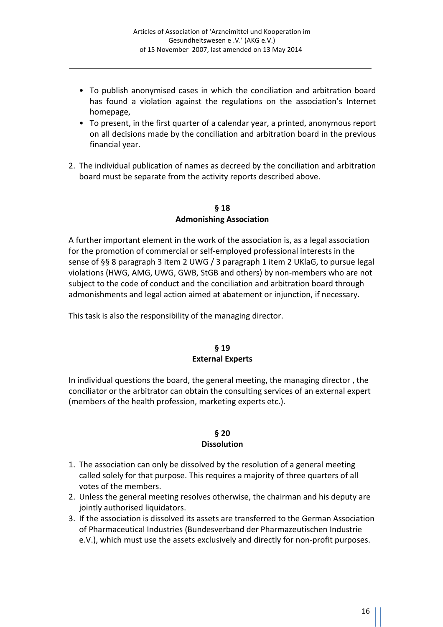- To publish anonymised cases in which the conciliation and arbitration board has found a violation against the regulations on the association's Internet homepage,
- To present, in the first quarter of a calendar year, a printed, anonymous report on all decisions made by the conciliation and arbitration board in the previous financial year.
- 2. The individual publication of names as decreed by the conciliation and arbitration board must be separate from the activity reports described above.

**§ 18 Admonishing Association**

A further important element in the work of the association is, as a legal association for the promotion of commercial or self-employed professional interests in the sense of §§ 8 paragraph 3 item 2 UWG / 3 paragraph 1 item 2 UKlaG, to pursue legal violations (HWG, AMG, UWG, GWB, StGB and others) by non-members who are not subject to the code of conduct and the conciliation and arbitration board through admonishments and legal action aimed at abatement or injunction, if necessary.

This task is also the responsibility of the managing director.

#### **§ 19 External Experts**

In individual questions the board, the general meeting, the managing director , the conciliator or the arbitrator can obtain the consulting services of an external expert (members of the health profession, marketing experts etc.).

#### **§ 20 Dissolution**

- 1. The association can only be dissolved by the resolution of a general meeting called solely for that purpose. This requires a majority of three quarters of all votes of the members.
- 2. Unless the general meeting resolves otherwise, the chairman and his deputy are jointly authorised liquidators.
- 3. If the association is dissolved its assets are transferred to the German Association of Pharmaceutical Industries (Bundesverband der Pharmazeutischen Industrie e.V.), which must use the assets exclusively and directly for non-profit purposes.